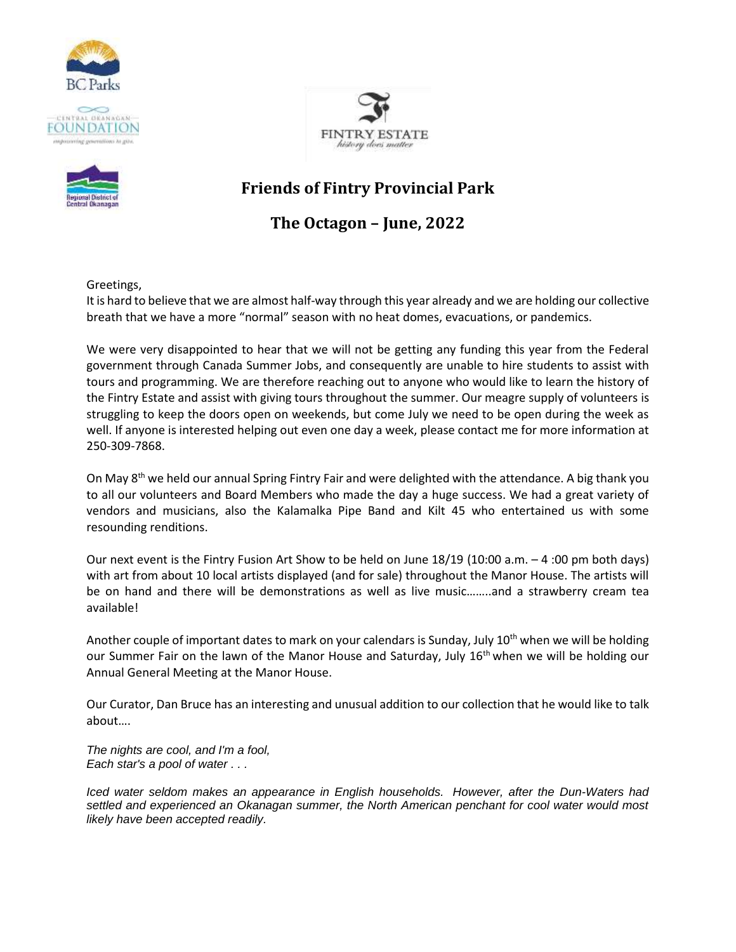





## **Friends of Fintry Provincial Park**

## **The Octagon – June, 2022**

Greetings,

It is hard to believe that we are almost half-way through this year already and we are holding our collective breath that we have a more "normal" season with no heat domes, evacuations, or pandemics.

We were very disappointed to hear that we will not be getting any funding this year from the Federal government through Canada Summer Jobs, and consequently are unable to hire students to assist with tours and programming. We are therefore reaching out to anyone who would like to learn the history of the Fintry Estate and assist with giving tours throughout the summer. Our meagre supply of volunteers is struggling to keep the doors open on weekends, but come July we need to be open during the week as well. If anyone is interested helping out even one day a week, please contact me for more information at 250-309-7868.

On May 8<sup>th</sup> we held our annual Spring Fintry Fair and were delighted with the attendance. A big thank you to all our volunteers and Board Members who made the day a huge success. We had a great variety of vendors and musicians, also the Kalamalka Pipe Band and Kilt 45 who entertained us with some resounding renditions.

Our next event is the Fintry Fusion Art Show to be held on June 18/19 (10:00 a.m. – 4 :00 pm both days) with art from about 10 local artists displayed (and for sale) throughout the Manor House. The artists will be on hand and there will be demonstrations as well as live music……..and a strawberry cream tea available!

Another couple of important dates to mark on your calendars is Sunday, July 10<sup>th</sup> when we will be holding our Summer Fair on the lawn of the Manor House and Saturday, July 16<sup>th</sup> when we will be holding our Annual General Meeting at the Manor House.

Our Curator, Dan Bruce has an interesting and unusual addition to our collection that he would like to talk about….

*The nights are cool, and I'm a fool, Each star's a pool of water . . .*

*Iced water seldom makes an appearance in English households. However, after the Dun-Waters had settled and experienced an Okanagan summer, the North American penchant for cool water would most likely have been accepted readily.*